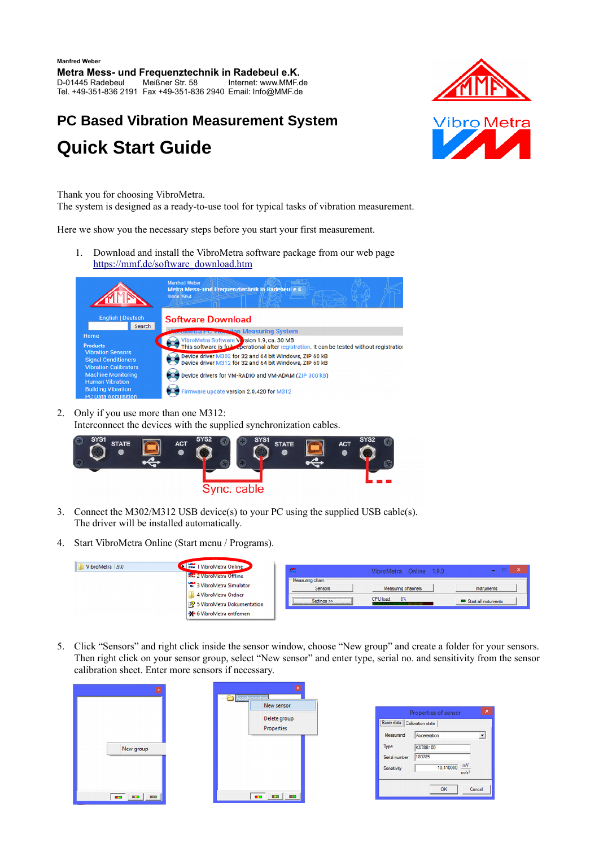## **PC Based Vibration Measurement System Quick Start Guide**



Thank you for choosing VibroMetra.

The system is designed as a ready-to-use tool for typical tasks of vibration measurement.

Here we show you the necessary steps before you start your first measurement.

1. Download and install the VibroMetra software package from our web page [https://mmf.de/software\\_download.htm](https://mmf.de/software_download.htm)

|                                    | Mahtred Weber<br>Metra Mess- und Frequenztechnik in Radebeul e.K.<br><b>Since 1954</b>       |
|------------------------------------|----------------------------------------------------------------------------------------------|
| <b>English   Deutsch</b><br>Search | <b>Software Download</b>                                                                     |
|                                    | <b>Convieted Pt. Vibration Measuring System</b>                                              |
| Home                               | VibroMetra Software Version 1.9, ca. 30 MB                                                   |
| <b>Products</b>                    | This software is fully operational after registration. It can be tested without registration |
| <b>Vibration Sensors</b>           | Device driver M302 for 32 and 64 bit Windows, ZIP 60 kB                                      |
| <b>Signal Conditioners</b>         | Device driver M312 for 32 and 64 bit Windows, ZIP 60 kB                                      |
| <b>Vibration Calibrators</b>       |                                                                                              |
| <b>Machine Monitoring</b>          | Device drivers for VM-RADIO and VM-ADAM (ZIP 300 kB)                                         |
| <b>Human Vibration</b>             |                                                                                              |
| <b>Building Vibration</b>          | rmware update version 2.0.420 for M312                                                       |
| DO Dota Anguinitian                |                                                                                              |

2. Only if you use more than one M312:

Interconnect the devices with the supplied synchronization cables.



- 3. Connect the M302/M312 USB device(s) to your PC using the supplied USB cable(s). The driver will be installed automatically.
- 4. Start VibroMetra Online (Start menu / Programs).

| VibroMetra 1.9.0 | 1 VibroMetra Online<br><b>AM</b><br>one 2 VibroMetra Offline                                          |                                             | VibroMetra Online 1.9.0                  | $   \sqrt{2}$                       |
|------------------|-------------------------------------------------------------------------------------------------------|---------------------------------------------|------------------------------------------|-------------------------------------|
|                  | 3 VibroMetra Simulator<br>4 VibroMetra Ordner<br>5 VibroMetra Dokumentation<br>6 VibroMetra entfernen | - Measuring chain<br>Sensors<br>Settings >> | Measuring channels<br>$0\%$<br>CPU load: | Instruments<br>Start all instuments |

5. Click "Sensors" and right click inside the sensor window, choose "New group" and create a folder for your sensors. Then right click on your sensor group, select "New sensor" and enter type, serial no. and sensitivity from the sensor calibration sheet. Enter more sensors if necessary.

|           | <b>Accelemmeters</b>       |
|-----------|----------------------------|
|           | New sensor                 |
|           | Delete group<br>Properties |
| New group |                            |
| œ         | $\mathbf{H}$               |

| ×<br>Properties of sensor      |                    |        |  |
|--------------------------------|--------------------|--------|--|
| Basic data   Calibration state |                    |        |  |
| Measurand                      | Acceleration       |        |  |
| Type                           | <b>KS78B100</b>    |        |  |
| Serial number                  | 180785             |        |  |
| Sensitivity                    | $\frac{mV}{m/s^2}$ |        |  |
|                                | OK                 | Cancel |  |